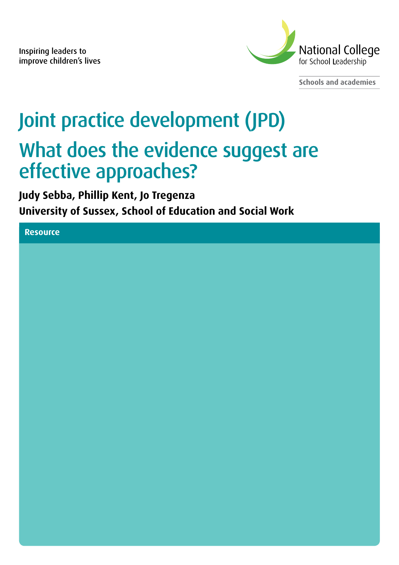Inspiring leaders to improve children's lives



**Schools and academies**

# Joint practice development (JPD) What does the evidence suggest are effective approaches?

**Judy Sebba, Phillip Kent, Jo Tregenza University of Sussex, School of Education and Social Work** 

**Resource**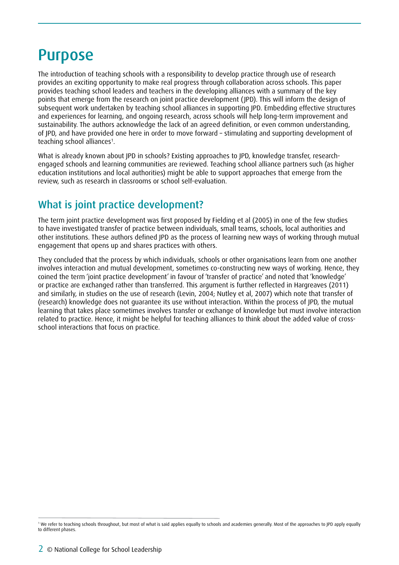### Purpose

The introduction of teaching schools with a responsibility to develop practice through use of research provides an exciting opportunity to make real progress through collaboration across schools. This paper provides teaching school leaders and teachers in the developing alliances with a summary of the key points that emerge from the research on joint practice development (JPD). This will inform the design of subsequent work undertaken by teaching school alliances in supporting JPD. Embedding effective structures and experiences for learning, and ongoing research, across schools will help long-term improvement and sustainability. The authors acknowledge the lack of an agreed definition, or even common understanding, of JPD, and have provided one here in order to move forward – stimulating and supporting development of teaching school alliances<sup>1</sup>.

What is already known about JPD in schools? Existing approaches to JPD, knowledge transfer, researchengaged schools and learning communities are reviewed. Teaching school alliance partners such (as higher education institutions and local authorities) might be able to support approaches that emerge from the review, such as research in classrooms or school self-evaluation.

#### What is joint practice development?

The term joint practice development was first proposed by Fielding et al (2005) in one of the few studies to have investigated transfer of practice between individuals, small teams, schools, local authorities and other institutions. These authors defined JPD as the process of learning new ways of working through mutual engagement that opens up and shares practices with others.

They concluded that the process by which individuals, schools or other organisations learn from one another involves interaction and mutual development, sometimes co-constructing new ways of working. Hence, they coined the term 'joint practice development' in favour of 'transfer of practice' and noted that 'knowledge' or practice are exchanged rather than transferred. This argument is further reflected in Hargreaves (2011) and similarly, in studies on the use of research (Levin, 2004; Nutley et al, 2007) which note that transfer of (research) knowledge does not guarantee its use without interaction. Within the process of JPD, the mutual learning that takes place sometimes involves transfer or exchange of knowledge but must involve interaction related to practice. Hence, it might be helpful for teaching alliances to think about the added value of crossschool interactions that focus on practice.

<sup>1</sup> We refer to teaching schools throughout, but most of what is said applies equally to schools and academies generally. Most of the approaches to JPD apply equally to different phases.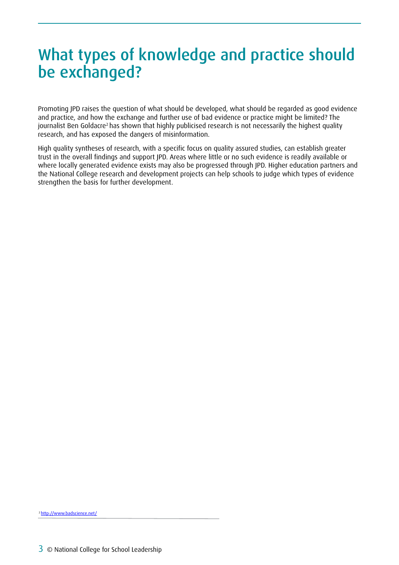## What types of knowledge and practice should be exchanged?

Promoting JPD raises the question of what should be developed, what should be regarded as good evidence and practice, and how the exchange and further use of bad evidence or practice might be limited? The journalist Ben Goldacre<sup>2</sup> has shown that highly publicised research is not necessarily the highest quality research, and has exposed the dangers of misinformation.

High quality syntheses of research, with a specific focus on quality assured studies, can establish greater trust in the overall findings and support JPD. Areas where little or no such evidence is readily available or where locally generated evidence exists may also be progressed through JPD. Higher education partners and the National College research and development projects can help schools to judge which types of evidence strengthen the basis for further development.

2 http://www.badscience.net/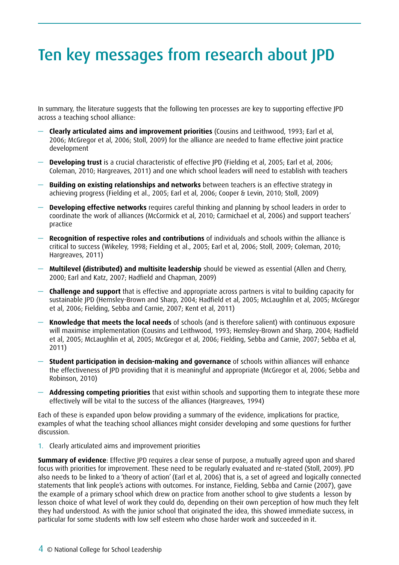## Ten key messages from research about JPD

In summary, the literature suggests that the following ten processes are key to supporting effective JPD across a teaching school alliance:

- **Clearly articulated aims and improvement priorities** (Cousins and Leithwood, 1993; Earl et al, 2006; McGregor et al, 2006; Stoll, 2009) for the alliance are needed to frame effective joint practice development
- **Developing trust** is a crucial characteristic of effective JPD (Fielding et al, 2005; Earl et al, 2006; Coleman, 2010; Hargreaves, 2011) and one which school leaders will need to establish with teachers
- **Building on existing relationships and networks** between teachers is an effective strategy in achieving progress (Fielding et al., 2005; Earl et al, 2006; Cooper & Levin, 2010; Stoll, 2009)
- **Developing effective networks** requires careful thinking and planning by school leaders in order to coordinate the work of alliances (McCormick et al, 2010; Carmichael et al, 2006) and support teachers' practice
- **Recognition of respective roles and contributions** of individuals and schools within the alliance is critical to success (Wikeley, 1998; Fielding et al., 2005; Earl et al, 2006; Stoll, 2009; Coleman, 2010; Hargreaves, 2011)
- **Multilevel (distributed) and multisite leadership** should be viewed as essential (Allen and Cherry, 2000; Earl and Katz, 2007; Hadfield and Chapman, 2009)
- **Challenge and support** that is effective and appropriate across partners is vital to building capacity for sustainable JPD (Hemsley-Brown and Sharp, 2004; Hadfield et al, 2005; McLaughlin et al, 2005; McGregor et al, 2006; Fielding, Sebba and Carnie, 2007; Kent et al, 2011)
- **Knowledge that meets the local needs** of schools (and is therefore salient) with continuous exposure will maximise implementation (Cousins and Leithwood, 1993; Hemsley-Brown and Sharp, 2004; Hadfield et al, 2005; McLaughlin et al, 2005; McGregor et al, 2006; Fielding, Sebba and Carnie, 2007; Sebba et al, 2011)
- **Student participation in decision-making and governance** of schools within alliances will enhance the effectiveness of JPD providing that it is meaningful and appropriate (McGregor et al, 2006; Sebba and Robinson, 2010)
- **Addressing competing priorities** that exist within schools and supporting them to integrate these more effectively will be vital to the success of the alliances (Hargreaves, 1994)

Each of these is expanded upon below providing a summary of the evidence, implications for practice, examples of what the teaching school alliances might consider developing and some questions for further discussion.

1. Clearly articulated aims and improvement priorities

**Summary of evidence**: Effective JPD requires a clear sense of purpose, a mutually agreed upon and shared focus with priorities for improvement. These need to be regularly evaluated and re-stated (Stoll, 2009). JPD also needs to be linked to a 'theory of action' (Earl et al, 2006) that is, a set of agreed and logically connected statements that link people's actions with outcomes. For instance, Fielding, Sebba and Carnie (2007), gave the example of a primary school which drew on practice from another school to give students a lesson by lesson choice of what level of work they could do, depending on their own perception of how much they felt they had understood. As with the junior school that originated the idea, this showed immediate success, in particular for some students with low self esteem who chose harder work and succeeded in it.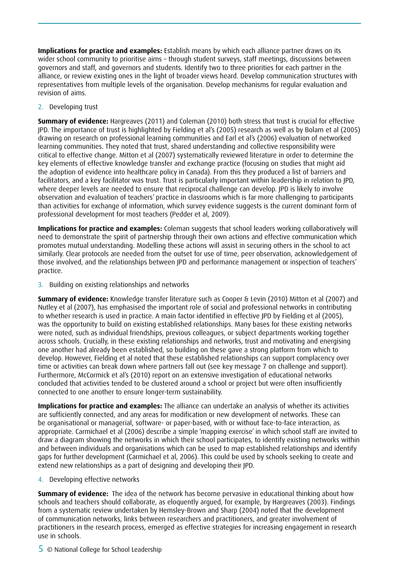**Implications for practice and examples:** Establish means by which each alliance partner draws on its wider school community to prioritise aims – through student surveys, staff meetings, discussions between governors and staff, and governors and students. Identify two to three priorities for each partner in the alliance, or review existing ones in the light of broader views heard. Develop communication structures with representatives from multiple levels of the organisation. Develop mechanisms for regular evaluation and revision of aims.

2. Developing trust

**Summary of evidence:** Hargreaves (2011) and Coleman (2010) both stress that trust is crucial for effective JPD. The importance of trust is highlighted by Fielding et al's (2005) research as well as by Bolam et al (2005) drawing on research on professional learning communities and Earl et al's (2006) evaluation of networked learning communities. They noted that trust, shared understanding and collective responsibility were critical to effective change. Mitton et al (2007) systematically reviewed literature in order to determine the key elements of effective knowledge transfer and exchange practice (focusing on studies that might aid the adoption of evidence into healthcare policy in Canada). From this they produced a list of barriers and facilitators, and a key facilitator was trust. Trust is particularly important within leadership in relation to JPD, where deeper levels are needed to ensure that reciprocal challenge can develop. JPD is likely to involve observation and evaluation of teachers' practice in classrooms which is far more challenging to participants than activities for exchange of information, which survey evidence suggests is the current dominant form of professional development for most teachers (Pedder et al, 2009).

**Implications for practice and examples:** Coleman suggests that school leaders working collaboratively will need to demonstrate the spirit of partnership through their own actions and effective communication which promotes mutual understanding. Modelling these actions will assist in securing others in the school to act similarly. Clear protocols are needed from the outset for use of time, peer observation, acknowledgement of those involved, and the relationships between JPD and performance management or inspection of teachers' practice.

3. Building on existing relationships and networks

**Summary of evidence:** Knowledge transfer literature such as Cooper & Levin (2010) Mitton et al (2007) and Nutley et al (2007), has emphasised the important role of social and professional networks in contributing to whether research is used in practice. A main factor identified in effective JPD by Fielding et al (2005), was the opportunity to build on existing established relationships. Many bases for these existing networks were noted, such as individual friendships, previous colleagues, or subject departments working together across schools. Crucially, in these existing relationships and networks, trust and motivating and energising one another had already been established, so building on these gave a strong platform from which to develop. However, Fielding et al noted that these established relationships can support complacency over time or activities can break down where partners fall out (see key message 7 on challenge and support). Furthermore, McCormick et al's (2010) report on an extensive investigation of educational networks concluded that activities tended to be clustered around a school or project but were often insufficiently connected to one another to ensure longer-term sustainability.

**Implications for practice and examples:** The alliance can undertake an analysis of whether its activities are sufficiently connected, and any areas for modification or new development of networks. These can be organisational or managerial, software- or paper-based, with or without face-to-face interaction, as appropriate. Carmichael et al (2006) describe a simple 'mapping exercise' in which school staff are invited to draw a diagram showing the networks in which their school participates, to identify existing networks within and between individuals and organisations which can be used to map established relationships and identify gaps for further development (Carmichael et al, 2006). This could be used by schools seeking to create and extend new relationships as a part of designing and developing their JPD.

4. Developing effective networks

**Summary of evidence:** The idea of the network has become pervasive in educational thinking about how schools and teachers should collaborate, as eloquently argued, for example, by Hargreaves (2003). Findings from a systematic review undertaken by Hemsley-Brown and Sharp (2004) noted that the development of communication networks, links between researchers and practitioners, and greater involvement of practitioners in the research process, emerged as effective strategies for increasing engagement in research use in schools.

5 © National College for School Leadership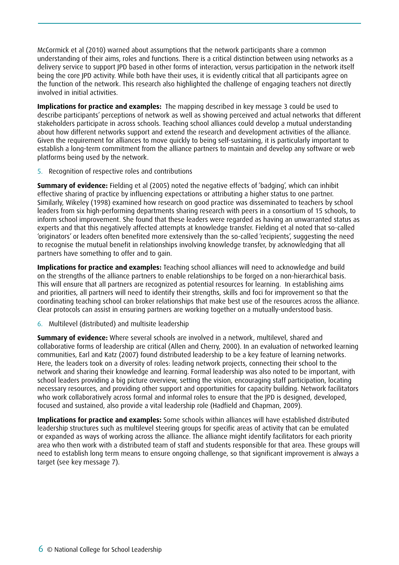McCormick et al (2010) warned about assumptions that the network participants share a common understanding of their aims, roles and functions. There is a critical distinction between using networks as a delivery service to support JPD based in other forms of interaction, versus participation in the network itself being the core JPD activity. While both have their uses, it is evidently critical that all participants agree on the function of the network. This research also highlighted the challenge of engaging teachers not directly involved in initial activities.

**Implications for practice and examples:** The mapping described in key message 3 could be used to describe participants' perceptions of network as well as showing perceived and actual networks that different stakeholders participate in across schools. Teaching school alliances could develop a mutual understanding about how different networks support and extend the research and development activities of the alliance. Given the requirement for alliances to move quickly to being self-sustaining, it is particularly important to establish a long-term commitment from the alliance partners to maintain and develop any software or web platforms being used by the network.

5. Recognition of respective roles and contributions

**Summary of evidence:** Fielding et al (2005) noted the negative effects of 'badging', which can inhibit effective sharing of practice by influencing expectations or attributing a higher status to one partner. Similarly, Wikeley (1998) examined how research on good practice was disseminated to teachers by school leaders from six high-performing departments sharing research with peers in a consortium of 15 schools, to inform school improvement. She found that these leaders were regarded as having an unwarranted status as experts and that this negatively affected attempts at knowledge transfer. Fielding et al noted that so-called 'originators' or leaders often benefited more extensively than the so-called 'recipients', suggesting the need to recognise the mutual benefit in relationships involving knowledge transfer, by acknowledging that all partners have something to offer and to gain.

**Implications for practice and examples:** Teaching school alliances will need to acknowledge and build on the strengths of the alliance partners to enable relationships to be forged on a non-hierarchical basis. This will ensure that all partners are recognized as potential resources for learning. In establishing aims and priorities, all partners will need to identify their strengths, skills and foci for improvement so that the coordinating teaching school can broker relationships that make best use of the resources across the alliance. Clear protocols can assist in ensuring partners are working together on a mutually-understood basis.

6. Multilevel (distributed) and multisite leadership

**Summary of evidence:** Where several schools are involved in a network, multilevel, shared and collaborative forms of leadership are critical (Allen and Cherry, 2000). In an evaluation of networked learning communities, Earl and Katz (2007) found distributed leadership to be a key feature of learning networks. Here, the leaders took on a diversity of roles: leading network projects, connecting their school to the network and sharing their knowledge and learning. Formal leadership was also noted to be important, with school leaders providing a big picture overview, setting the vision, encouraging staff participation, locating necessary resources, and providing other support and opportunities for capacity building. Network facilitators who work collaboratively across formal and informal roles to ensure that the IPD is designed, developed, focused and sustained, also provide a vital leadership role (Hadfield and Chapman, 2009).

**Implications for practice and examples:** Some schools within alliances will have established distributed leadership structures such as multilevel steering groups for specific areas of activity that can be emulated or expanded as ways of working across the alliance. The alliance might identify facilitators for each priority area who then work with a distributed team of staff and students responsible for that area. These groups will need to establish long term means to ensure ongoing challenge, so that significant improvement is always a target (see key message 7).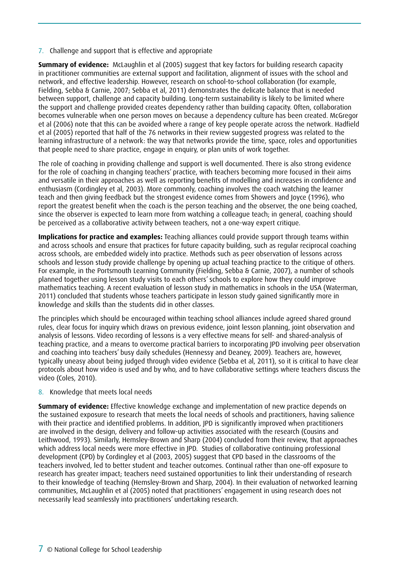7. Challenge and support that is effective and appropriate

**Summary of evidence:** McLaughlin et al (2005) suggest that key factors for building research capacity in practitioner communities are external support and facilitation, alignment of issues with the school and network, and effective leadership. However, research on school-to-school collaboration (for example, Fielding, Sebba & Carnie, 2007; Sebba et al, 2011) demonstrates the delicate balance that is needed between support, challenge and capacity building. Long-term sustainability is likely to be limited where the support and challenge provided creates dependency rather than building capacity. Often, collaboration becomes vulnerable when one person moves on because a dependency culture has been created. McGregor et al (2006) note that this can be avoided where a range of key people operate across the network. Hadfield et al (2005) reported that half of the 76 networks in their review suggested progress was related to the learning infrastructure of a network: the way that networks provide the time, space, roles and opportunities that people need to share practice, engage in enquiry, or plan units of work together.

The role of coaching in providing challenge and support is well documented. There is also strong evidence for the role of coaching in changing teachers' practice, with teachers becoming more focused in their aims and versatile in their approaches as well as reporting benefits of modelling and increases in confidence and enthusiasm (Cordingley et al, 2003). More commonly, coaching involves the coach watching the learner teach and then giving feedback but the strongest evidence comes from Showers and Joyce (1996), who report the greatest benefit when the coach is the person teaching and the observer, the one being coached, since the observer is expected to learn more from watching a colleague teach; in general, coaching should be perceived as a collaborative activity between teachers, not a one-way expert critique.

**Implications for practice and examples:** Teaching alliances could provide support through teams within and across schools and ensure that practices for future capacity building, such as regular reciprocal coaching across schools, are embedded widely into practice. Methods such as peer observation of lessons across schools and lesson study provide challenge by opening up actual teaching practice to the critique of others. For example, in the Portsmouth Learning Community (Fielding, Sebba & Carnie, 2007), a number of schools planned together using lesson study visits to each others' schools to explore how they could improve mathematics teaching. A recent evaluation of lesson study in mathematics in schools in the USA (Waterman, 2011) concluded that students whose teachers participate in lesson study gained significantly more in knowledge and skills than the students did in other classes.

The principles which should be encouraged within teaching school alliances include agreed shared ground rules, clear focus for inquiry which draws on previous evidence, joint lesson planning, joint observation and analysis of lessons. Video recording of lessons is a very effective means for self- and shared-analysis of teaching practice, and a means to overcome practical barriers to incorporating JPD involving peer observation and coaching into teachers' busy daily schedules (Hennessy and Deaney, 2009). Teachers are, however, typically uneasy about being judged through video evidence (Sebba et al, 2011), so it is critical to have clear protocols about how video is used and by who, and to have collaborative settings where teachers discuss the video (Coles, 2010).

8. Knowledge that meets local needs

**Summary of evidence:** Effective knowledge exchange and implementation of new practice depends on the sustained exposure to research that meets the local needs of schools and practitioners, having salience with their practice and identified problems. In addition, JPD is significantly improved when practitioners are involved in the design, delivery and follow-up activities associated with the research (Cousins and Leithwood, 1993). Similarly, Hemsley-Brown and Sharp (2004) concluded from their review, that approaches which address local needs were more effective in JPD. Studies of collaborative continuing professional development (CPD) by Cordingley et al (2003, 2005) suggest that CPD based in the classrooms of the teachers involved, led to better student and teacher outcomes. Continual rather than one-off exposure to research has greater impact; teachers need sustained opportunities to link their understanding of research to their knowledge of teaching (Hemsley-Brown and Sharp, 2004). In their evaluation of networked learning communities, McLaughlin et al (2005) noted that practitioners' engagement in using research does not necessarily lead seamlessly into practitioners' undertaking research.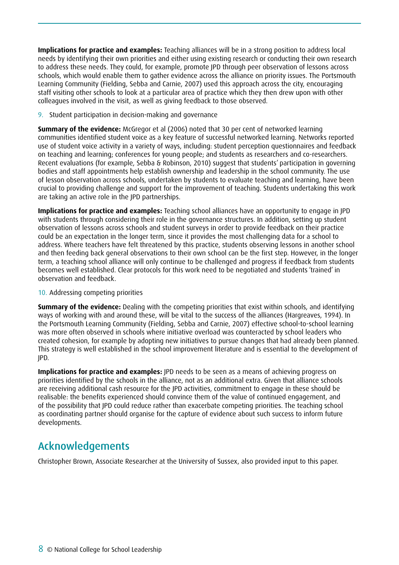**Implications for practice and examples:** Teaching alliances will be in a strong position to address local needs by identifying their own priorities and either using existing research or conducting their own research to address these needs. They could, for example, promote JPD through peer observation of lessons across schools, which would enable them to gather evidence across the alliance on priority issues. The Portsmouth Learning Community (Fielding, Sebba and Carnie, 2007) used this approach across the city, encouraging staff visiting other schools to look at a particular area of practice which they then drew upon with other colleagues involved in the visit, as well as giving feedback to those observed.

9. Student participation in decision-making and governance

**Summary of the evidence:** McGregor et al (2006) noted that 30 per cent of networked learning communities identified student voice as a key feature of successful networked learning. Networks reported use of student voice activity in a variety of ways, including: student perception questionnaires and feedback on teaching and learning; conferences for young people; and students as researchers and co-researchers. Recent evaluations (for example, Sebba & Robinson, 2010) suggest that students' participation in governing bodies and staff appointments help establish ownership and leadership in the school community. The use of lesson observation across schools, undertaken by students to evaluate teaching and learning, have been crucial to providing challenge and support for the improvement of teaching. Students undertaking this work are taking an active role in the JPD partnerships.

**Implications for practice and examples:** Teaching school alliances have an opportunity to engage in JPD with students through considering their role in the governance structures. In addition, setting up student observation of lessons across schools and student surveys in order to provide feedback on their practice could be an expectation in the longer term, since it provides the most challenging data for a school to address. Where teachers have felt threatened by this practice, students observing lessons in another school and then feeding back general observations to their own school can be the first step. However, in the longer term, a teaching school alliance will only continue to be challenged and progress if feedback from students becomes well established. Clear protocols for this work need to be negotiated and students 'trained' in observation and feedback.

#### 10. Addressing competing priorities

**Summary of the evidence:** Dealing with the competing priorities that exist within schools, and identifying ways of working with and around these, will be vital to the success of the alliances (Hargreaves, 1994). In the Portsmouth Learning Community (Fielding, Sebba and Carnie, 2007) effective school-to-school learning was more often observed in schools where initiative overload was counteracted by school leaders who created cohesion, for example by adopting new initiatives to pursue changes that had already been planned. This strategy is well established in the school improvement literature and is essential to the development of JPD.

**Implications for practice and examples:** JPD needs to be seen as a means of achieving progress on priorities identified by the schools in the alliance, not as an additional extra. Given that alliance schools are receiving additional cash resource for the JPD activities, commitment to engage in these should be realisable: the benefits experienced should convince them of the value of continued engagement, and of the possibility that JPD could reduce rather than exacerbate competing priorities. The teaching school as coordinating partner should organise for the capture of evidence about such success to inform future developments.

#### Acknowledgements

Christopher Brown, Associate Researcher at the University of Sussex, also provided input to this paper.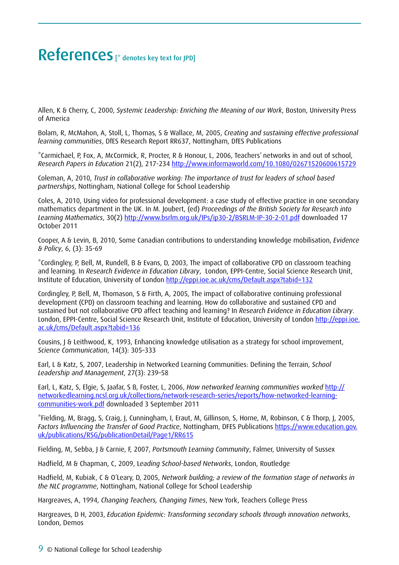### References [\* denotes key text for JPD]

Allen, K & Cherry, C, 2000, *Systemic Leadership: Enriching the Meaning of our Work*, Boston, University Press of America

Bolam, R, McMahon, A, Stoll, L, Thomas, S & Wallace, M, 2005, *Creating and sustaining effective professional learning communities*, DfES Research Report RR637, Nottingham, DfES Publications

\*Carmichael, P, Fox, A, McCormick, R, Procter, R & Honour, L, 2006, Teachers' networks in and out of school, *Research Papers in Education* 21(2), 217-234 http://www.informaworld.com/10.1080/02671520600615729

Coleman, A, 2010, *Trust in collaborative working: The importance of trust for leaders of school based partnerships*, Nottingham, National College for School Leadership

Coles, A, 2010, Using video for professional development: a case study of effective practice in one secondary mathematics department in the UK. In M. Joubert, (ed) *Proceedings of the British Society for Research into Learning Mathematics*, 30(2) http://www.bsrlm.org.uk/IPs/ip30-2/BSRLM-IP-30-2-01.pdf downloaded 17 October 2011

Cooper, A & Levin, B, 2010, Some Canadian contributions to understanding knowledge mobilisation, *Evidence & Policy*, 6, (3): 35-69

\*Cordingley, P, Bell, M, Rundell, B & Evans, D, 2003, The impact of collaborative CPD on classroom teaching and learning. In *Research Evidence in Education Library*, London, EPPI-Centre, Social Science Research Unit, Institute of Education, University of London http://eppi.ioe.ac.uk/cms/Default.aspx?tabid=132

Cordingley, P, Bell, M, Thomason, S & Firth, A, 2005, The impact of collaborative continuing professional development (CPD) on classroom teaching and learning. How do collaborative and sustained CPD and sustained but not collaborative CPD affect teaching and learning? In *Research Evidence in Education Library*. London, EPPI-Centre, Social Science Research Unit, Institute of Education, University of London http://eppi.ioe. ac.uk/cms/Default.aspx?tabid=136

Cousins, J & Leithwood, K, 1993, Enhancing knowledge utilisation as a strategy for school improvement, *Science Communication*, 14(3): 305–333

Earl, L & Katz, S, 2007, Leadership in Networked Learning Communities: Defining the Terrain, *School Leadership and Management*, 27(3): 239–58

Earl, L, Katz, S, Elgie, S, Jaafar, S B, Foster, L, 2006, *How networked learning communities worked* http:// networkedlearning.ncsl.org.uk/collections/network-research-series/reports/how-networked-learningcommunities-work.pdf downloaded 3 September 2011

\*Fielding, M, Bragg, S, Craig, J, Cunningham, I, Eraut, M, Gillinson, S, Horne, M, Robinson, C & Thorp, J, 2005, *Factors Influencing the Transfer of Good Practice*, Nottingham, DFES Publications https://www.education.gov. uk/publications/RSG/publicationDetail/Page1/RR615

Fielding, M, Sebba, J & Carnie, F, 2007, *Portsmouth Learning Community*, Falmer, University of Sussex

Hadfield, M & Chapman, C, 2009, L*eading School-based Networks*, London, Routledge

Hadfield, M, Kubiak, C & O'Leary, D, 2005, *Network building; a review of the formation stage of networks in the NLC programme*, Nottingham, National College for School Leadership

Hargreaves, A, 1994, *Changing Teachers, Changing Times*, New York, Teachers College Press

Hargreaves, D H, 2003, *Education Epidemic: Transforming secondary schools through innovation networks*, London, Demos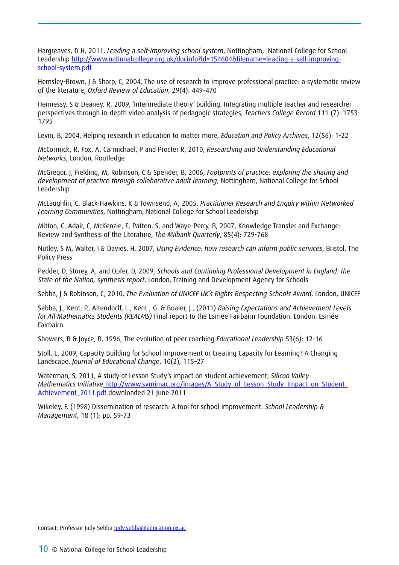Hargreaves, D H, 2011, *Leading a self-improving school system*, Nottingham, National College for School Leadership http://www.nationalcollege.org.uk/docinfo?id=154604&filename=leading-a-self-improvingschool-system.pdf

Hemsley-Brown, J & Sharp, C, 2004, The use of research to improve professional practice: a systematic review of the literature, *Oxford Review of Education*, 29(4): 449–470

Hennessy, S & Deaney, R, 2009, 'Intermediate theory' building: Integrating multiple teacher and researcher perspectives through in-depth video analysis of pedagogic strategies, *Teachers College Record* 111 (7): 1753- 1795

Levin, B, 2004, Helping research in education to matter more, *Education and Policy Archives*, 12(56): 1-22

McCormick, R, Fox, A, Carmichael, P and Procter R, 2010, *Researching and Understanding Educational Networks*, London, Routledge

McGregor, J, Fielding, M, Robinson, C & Spender, B, 2006, *Footprints of practice: exploring the sharing and development of practice through collaborative adult learning*, Nottingham, National College for School Leadership

McLaughlin, C, Black-Hawkins, K & Townsend, A, 2005, *Practitioner Research and Enquiry within Networked Learning Communities*, Nottingham, National College for School Leadership

Mitton, C, Adair, C, McKenzie, E, Patten, S, and Waye-Perry, B, 2007, Knowledge Transfer and Exchange: Review and Synthesis of the Literature, *The Milbank Quarterly*, 85(4): 729-768

Nutley, S M, Walter, I & Davies, H, 2007, *Using Evidence: how research can inform public services*, Bristol, The Policy Press

Pedder, D, Storey, A, and Opfer, D, 2009, *Schools and Continuing Professional Development in England: the State of the Nation, synthesis report*, London, Training and Development Agency for Schools

Sebba, J & Robinson, C, 2010, *The Evaluation of UNICEF UK's Rights Respecting Schools Award*, London, UNICEF

Sebba, J., Kent, P., Altendorff, L., Kent , G. & Boaler, J., (2011) *Raising Expectations and Achievement Levels for All Mathematics Students (REALMS)* Final report to the Esmée Fairbairn Foundation. London: Esmée Fairbairn

Showers, B & Joyce, B, 1996, The evolution of peer coaching *Educational Leadership* 53(6): 12-16

Stoll, L, 2009, Capacity Building for School Improvement or Creating Capacity for Learning? A Changing Landscape, *Journal of Educational Change*, 10(2), 115–27

Waterman, S, 2011, A study of Lesson Study's impact on student achievement, *Silicon Valley Mathematics Initiative* http://www.svmimac.org/images/A\_Study\_of\_Lesson\_Study\_Impact\_on\_Student\_ Achievement\_2011.pdf downloaded 21 June 2011

Wikeley, F. (1998) Dissemination of research: A tool for school improvement. *School Leadership & Management*, 18 (1): pp. 59-73